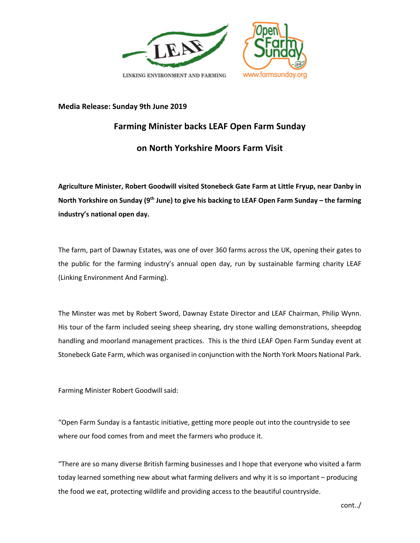

## **Media Release: Sunday 9th June 2019**

## **Farming Minister backs LEAF Open Farm Sunday on North Yorkshire Moors Farm Visit**

**Agriculture Minister, Robert Goodwill visited Stonebeck Gate Farm at Little Fryup, near Danby in North Yorkshire on Sunday (9th June) to give his backing to LEAF Open Farm Sunday – the farming industry's national open day.** 

The farm, part of Dawnay Estates, was one of over 360 farms across the UK, opening their gates to the public for the farming industry's annual open day, run by sustainable farming charity LEAF (Linking Environment And Farming).

The Minster was met by Robert Sword, Dawnay Estate Director and LEAF Chairman, Philip Wynn. His tour of the farm included seeing sheep shearing, dry stone walling demonstrations, sheepdog handling and moorland management practices. This is the third LEAF Open Farm Sunday event at Stonebeck Gate Farm, which was organised in conjunction with the North York Moors National Park.

Farming Minister Robert Goodwill said:

"Open Farm Sunday is a fantastic initiative, getting more people out into the countryside to see where our food comes from and meet the farmers who produce it.

"There are so many diverse British farming businesses and I hope that everyone who visited a farm today learned something new about what farming delivers and why it is so important – producing the food we eat, protecting wildlife and providing access to the beautiful countryside.

cont../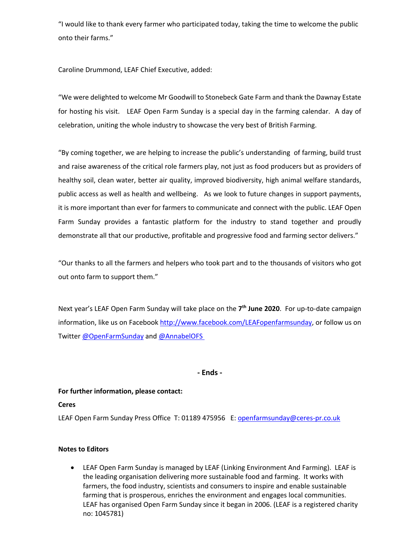"I would like to thank every farmer who participated today, taking the time to welcome the public onto their farms."

Caroline Drummond, LEAF Chief Executive, added:

"We were delighted to welcome Mr Goodwill to Stonebeck Gate Farm and thank the Dawnay Estate for hosting his visit. LEAF Open Farm Sunday is a special day in the farming calendar. A day of celebration, uniting the whole industry to showcase the very best of British Farming.

"By coming together, we are helping to increase the public's understanding of farming, build trust and raise awareness of the critical role farmers play, not just as food producers but as providers of healthy soil, clean water, better air quality, improved biodiversity, high animal welfare standards, public access as well as health and wellbeing. As we look to future changes in support payments, it is more important than ever for farmers to communicate and connect with the public. LEAF Open Farm Sunday provides a fantastic platform for the industry to stand together and proudly demonstrate all that our productive, profitable and progressive food and farming sector delivers."

"Our thanks to all the farmers and helpers who took part and to the thousands of visitors who got out onto farm to support them."

Next year's LEAF Open Farm Sunday will take place on the **7th June 2020**.For up-to-date campaign information, like us on Facebook http://www.facebook.com/LEAFopenfarmsunday, or follow us on Twitter @OpenFarmSunday and @AnnabelOFS

**- Ends -**

## **For further information, please contact:**

**Ceres** 

LEAF Open Farm Sunday Press Office T: 01189 475956 E: openfarmsunday@ceres-pr.co.uk

## **Notes to Editors**

• LEAF Open Farm Sunday is managed by LEAF (Linking Environment And Farming). LEAF is the leading organisation delivering more sustainable food and farming. It works with farmers, the food industry, scientists and consumers to inspire and enable sustainable farming that is prosperous, enriches the environment and engages local communities. LEAF has organised Open Farm Sunday since it began in 2006. (LEAF is a registered charity no: 1045781)